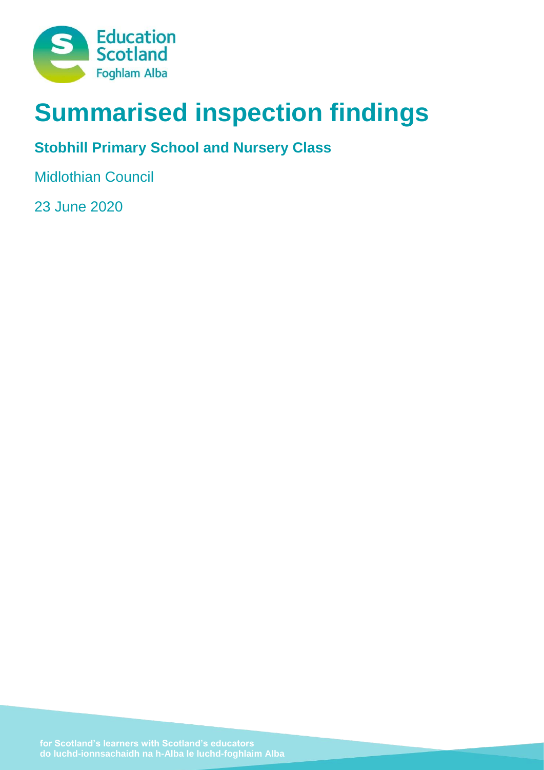

# **Summarised inspection findings**

# **Stobhill Primary School and Nursery Class**

Midlothian Council

23 June 2020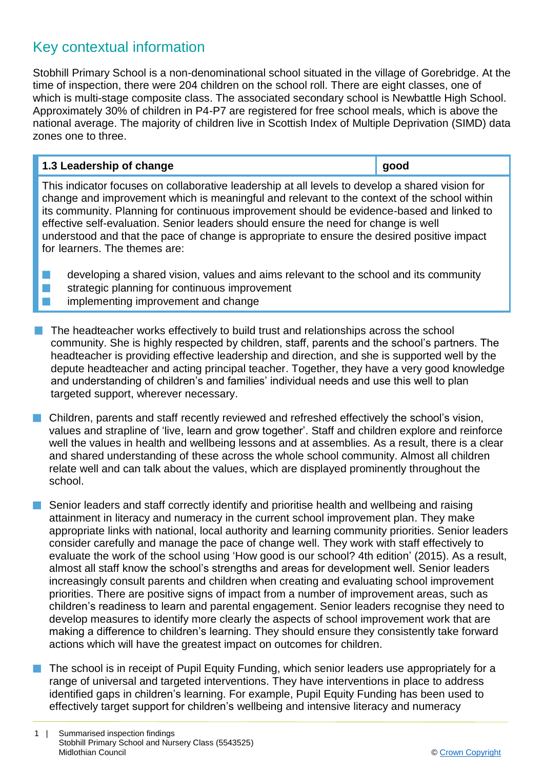# Key contextual information

Stobhill Primary School is a non-denominational school situated in the village of Gorebridge. At the time of inspection, there were 204 children on the school roll. There are eight classes, one of which is multi-stage composite class. The associated secondary school is Newbattle High School. Approximately 30% of children in P4-P7 are registered for free school meals, which is above the national average. The majority of children live in Scottish Index of Multiple Deprivation (SIMD) data zones one to three.

# **1.3 Leadership of change good**

This indicator focuses on collaborative leadership at all levels to develop a shared vision for change and improvement which is meaningful and relevant to the context of the school within its community. Planning for continuous improvement should be evidence-based and linked to effective self-evaluation. Senior leaders should ensure the need for change is well understood and that the pace of change is appropriate to ensure the desired positive impact for learners. The themes are:

 $\blacksquare$  developing a shared vision, values and aims relevant to the school and its community  $\blacksquare$  strategic planning for continuous improvement **n** implementing improvement and change

- $\blacksquare$  The headteacher works effectively to build trust and relationships across the school community. She is highly respected by children, staff, parents and the school's partners. The headteacher is providing effective leadership and direction, and she is supported well by the depute headteacher and acting principal teacher. Together, they have a very good knowledge and understanding of children's and families' individual needs and use this well to plan targeted support, wherever necessary.
- $\blacksquare$  Children, parents and staff recently reviewed and refreshed effectively the school's vision, values and strapline of 'live, learn and grow together'. Staff and children explore and reinforce well the values in health and wellbeing lessons and at assemblies. As a result, there is a clear and shared understanding of these across the whole school community. Almost all children relate well and can talk about the values, which are displayed prominently throughout the school.
- Senior leaders and staff correctly identify and prioritise health and wellbeing and raising attainment in literacy and numeracy in the current school improvement plan. They make appropriate links with national, local authority and learning community priorities. Senior leaders consider carefully and manage the pace of change well. They work with staff effectively to evaluate the work of the school using 'How good is our school? 4th edition' (2015). As a result, almost all staff know the school's strengths and areas for development well. Senior leaders increasingly consult parents and children when creating and evaluating school improvement priorities. There are positive signs of impact from a number of improvement areas, such as children's readiness to learn and parental engagement. Senior leaders recognise they need to develop measures to identify more clearly the aspects of school improvement work that are making a difference to children's learning. They should ensure they consistently take forward actions which will have the greatest impact on outcomes for children.
- $\blacksquare$  The school is in receipt of Pupil Equity Funding, which senior leaders use appropriately for a range of universal and targeted interventions. They have interventions in place to address identified gaps in children's learning. For example, Pupil Equity Funding has been used to effectively target support for children's wellbeing and intensive literacy and numeracy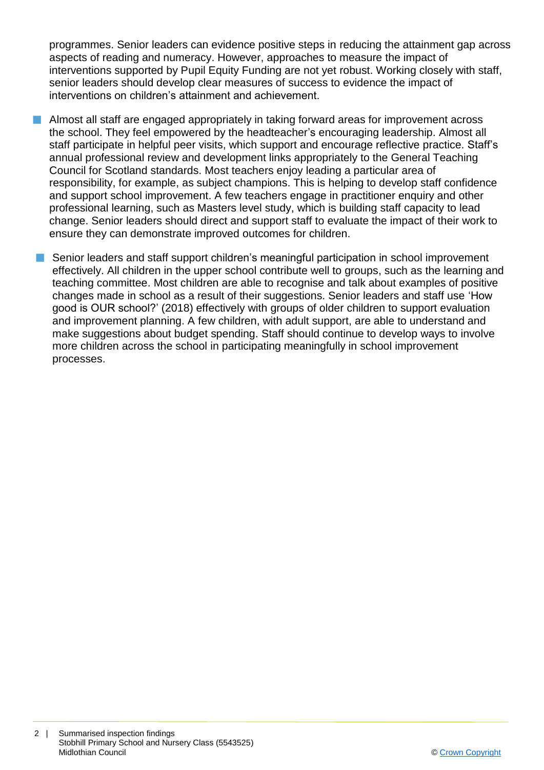programmes. Senior leaders can evidence positive steps in reducing the attainment gap across aspects of reading and numeracy. However, approaches to measure the impact of interventions supported by Pupil Equity Funding are not yet robust. Working closely with staff, senior leaders should develop clear measures of success to evidence the impact of interventions on children's attainment and achievement.

- **n** Almost all staff are engaged appropriately in taking forward areas for improvement across the school. They feel empowered by the headteacher's encouraging leadership. Almost all staff participate in helpful peer visits, which support and encourage reflective practice. Staff's annual professional review and development links appropriately to the General Teaching Council for Scotland standards. Most teachers enjoy leading a particular area of responsibility, for example, as subject champions. This is helping to develop staff confidence and support school improvement. A few teachers engage in practitioner enquiry and other professional learning, such as Masters level study, which is building staff capacity to lead change. Senior leaders should direct and support staff to evaluate the impact of their work to ensure they can demonstrate improved outcomes for children.
- **n** Senior leaders and staff support children's meaningful participation in school improvement effectively. All children in the upper school contribute well to groups, such as the learning and teaching committee. Most children are able to recognise and talk about examples of positive changes made in school as a result of their suggestions. Senior leaders and staff use 'How good is OUR school?' (2018) effectively with groups of older children to support evaluation and improvement planning. A few children, with adult support, are able to understand and make suggestions about budget spending. Staff should continue to develop ways to involve more children across the school in participating meaningfully in school improvement processes.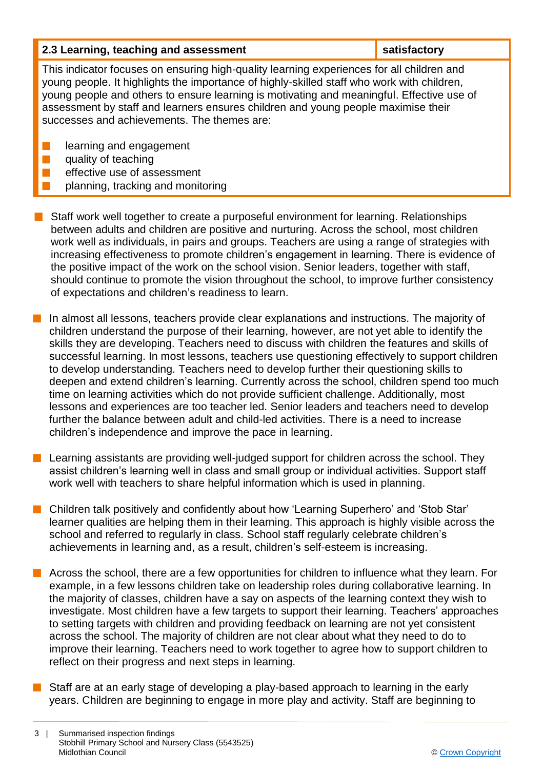| 2.3 Learning, teaching and assessment                                                                                                                                                                                                                                                                                                                                                                                    | satisfactory |  |
|--------------------------------------------------------------------------------------------------------------------------------------------------------------------------------------------------------------------------------------------------------------------------------------------------------------------------------------------------------------------------------------------------------------------------|--------------|--|
| This indicator focuses on ensuring high-quality learning experiences for all children and<br>young people. It highlights the importance of highly-skilled staff who work with children,<br>young people and others to ensure learning is motivating and meaningful. Effective use of<br>assessment by staff and learners ensures children and young people maximise their<br>successes and achievements. The themes are: |              |  |
| learning and engagement                                                                                                                                                                                                                                                                                                                                                                                                  |              |  |

quality of teaching

effective use of assessment

planning, tracking and monitoring

 $\blacksquare$  Staff work well together to create a purposeful environment for learning. Relationships between adults and children are positive and nurturing. Across the school, most children work well as individuals, in pairs and groups. Teachers are using a range of strategies with increasing effectiveness to promote children's engagement in learning. There is evidence of the positive impact of the work on the school vision. Senior leaders, together with staff, should continue to promote the vision throughout the school, to improve further consistency of expectations and children's readiness to learn.

In almost all lessons, teachers provide clear explanations and instructions. The majority of children understand the purpose of their learning, however, are not yet able to identify the skills they are developing. Teachers need to discuss with children the features and skills of successful learning. In most lessons, teachers use questioning effectively to support children to develop understanding. Teachers need to develop further their questioning skills to deepen and extend children's learning. Currently across the school, children spend too much time on learning activities which do not provide sufficient challenge. Additionally, most lessons and experiences are too teacher led. Senior leaders and teachers need to develop further the balance between adult and child-led activities. There is a need to increase children's independence and improve the pace in learning.

 $\blacksquare$  Learning assistants are providing well-judged support for children across the school. They assist children's learning well in class and small group or individual activities. Support staff work well with teachers to share helpful information which is used in planning.

■ Children talk positively and confidently about how 'Learning Superhero' and 'Stob Star' learner qualities are helping them in their learning. This approach is highly visible across the school and referred to regularly in class. School staff regularly celebrate children's achievements in learning and, as a result, children's self-esteem is increasing.

 $\blacksquare$  Across the school, there are a few opportunities for children to influence what they learn. For example, in a few lessons children take on leadership roles during collaborative learning. In the majority of classes, children have a say on aspects of the learning context they wish to investigate. Most children have a few targets to support their learning. Teachers' approaches to setting targets with children and providing feedback on learning are not yet consistent across the school. The majority of children are not clear about what they need to do to improve their learning. Teachers need to work together to agree how to support children to reflect on their progress and next steps in learning.

Staff are at an early stage of developing a play-based approach to learning in the early years. Children are beginning to engage in more play and activity. Staff are beginning to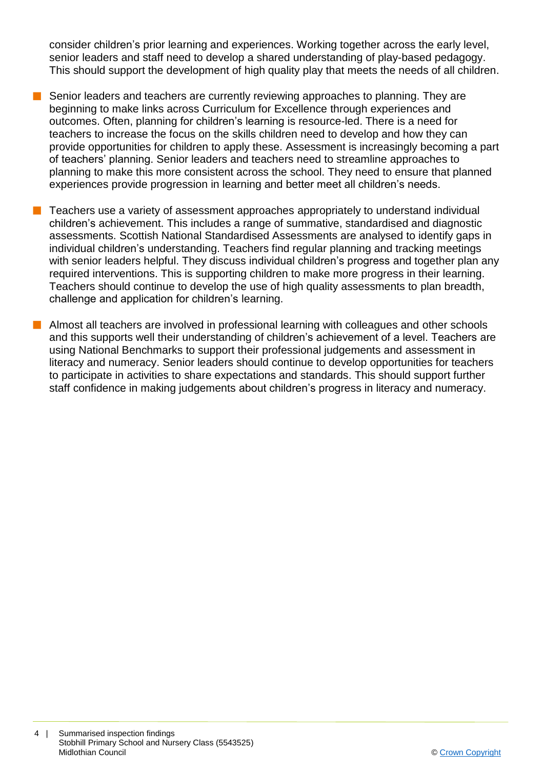consider children's prior learning and experiences. Working together across the early level, senior leaders and staff need to develop a shared understanding of play-based pedagogy. This should support the development of high quality play that meets the needs of all children.

- Senior leaders and teachers are currently reviewing approaches to planning. They are beginning to make links across Curriculum for Excellence through experiences and outcomes. Often, planning for children's learning is resource-led. There is a need for teachers to increase the focus on the skills children need to develop and how they can provide opportunities for children to apply these. Assessment is increasingly becoming a part of teachers' planning. Senior leaders and teachers need to streamline approaches to planning to make this more consistent across the school. They need to ensure that planned experiences provide progression in learning and better meet all children's needs.
- n Teachers use a variety of assessment approaches appropriately to understand individual children's achievement. This includes a range of summative, standardised and diagnostic assessments. Scottish National Standardised Assessments are analysed to identify gaps in individual children's understanding. Teachers find regular planning and tracking meetings with senior leaders helpful. They discuss individual children's progress and together plan any required interventions. This is supporting children to make more progress in their learning. Teachers should continue to develop the use of high quality assessments to plan breadth, challenge and application for children's learning.
- **n** Almost all teachers are involved in professional learning with colleagues and other schools and this supports well their understanding of children's achievement of a level. Teachers are using National Benchmarks to support their professional judgements and assessment in literacy and numeracy. Senior leaders should continue to develop opportunities for teachers to participate in activities to share expectations and standards. This should support further staff confidence in making judgements about children's progress in literacy and numeracy.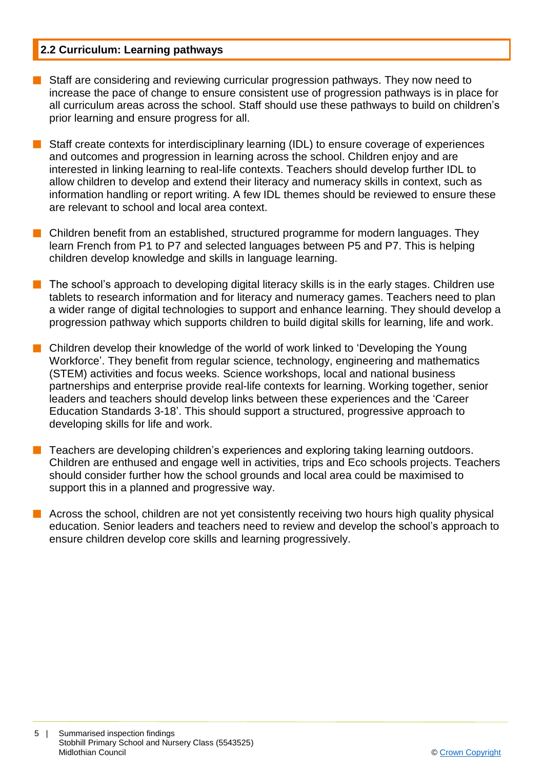# **2.2 Curriculum: Learning pathways**

- Staff are considering and reviewing curricular progression pathways. They now need to increase the pace of change to ensure consistent use of progression pathways is in place for all curriculum areas across the school. Staff should use these pathways to build on children's prior learning and ensure progress for all.
- Staff create contexts for interdisciplinary learning (IDL) to ensure coverage of experiences and outcomes and progression in learning across the school. Children enjoy and are interested in linking learning to real-life contexts. Teachers should develop further IDL to allow children to develop and extend their literacy and numeracy skills in context, such as information handling or report writing. A few IDL themes should be reviewed to ensure these are relevant to school and local area context.
- $\blacksquare$  Children benefit from an established, structured programme for modern languages. They learn French from P1 to P7 and selected languages between P5 and P7. This is helping children develop knowledge and skills in language learning.
- $\blacksquare$  The school's approach to developing digital literacy skills is in the early stages. Children use tablets to research information and for literacy and numeracy games. Teachers need to plan a wider range of digital technologies to support and enhance learning. They should develop a progression pathway which supports children to build digital skills for learning, life and work.
- Children develop their knowledge of the world of work linked to 'Developing the Young Workforce'. They benefit from regular science, technology, engineering and mathematics (STEM) activities and focus weeks. Science workshops, local and national business partnerships and enterprise provide real-life contexts for learning. Working together, senior leaders and teachers should develop links between these experiences and the 'Career Education Standards 3-18'. This should support a structured, progressive approach to developing skills for life and work.
- n Teachers are developing children's experiences and exploring taking learning outdoors. Children are enthused and engage well in activities, trips and Eco schools projects. Teachers should consider further how the school grounds and local area could be maximised to support this in a planned and progressive way.
- **n** Across the school, children are not yet consistently receiving two hours high quality physical education. Senior leaders and teachers need to review and develop the school's approach to ensure children develop core skills and learning progressively.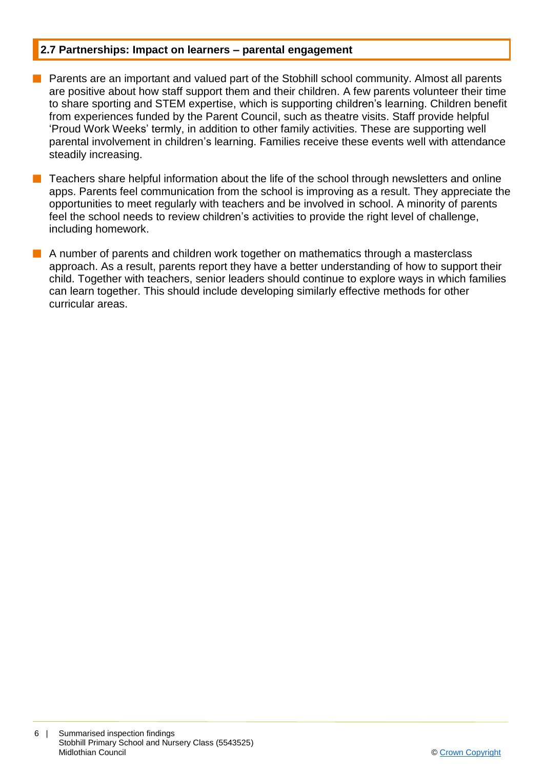# **2.7 Partnerships: Impact on learners – parental engagement**

- $\blacksquare$  Parents are an important and valued part of the Stobhill school community. Almost all parents are positive about how staff support them and their children. A few parents volunteer their time to share sporting and STEM expertise, which is supporting children's learning. Children benefit from experiences funded by the Parent Council, such as theatre visits. Staff provide helpful 'Proud Work Weeks' termly, in addition to other family activities. These are supporting well parental involvement in children's learning. Families receive these events well with attendance steadily increasing.
- n Teachers share helpful information about the life of the school through newsletters and online apps. Parents feel communication from the school is improving as a result. They appreciate the opportunities to meet regularly with teachers and be involved in school. A minority of parents feel the school needs to review children's activities to provide the right level of challenge, including homework.
- $\blacksquare$  A number of parents and children work together on mathematics through a masterclass approach. As a result, parents report they have a better understanding of how to support their child. Together with teachers, senior leaders should continue to explore ways in which families can learn together. This should include developing similarly effective methods for other curricular areas.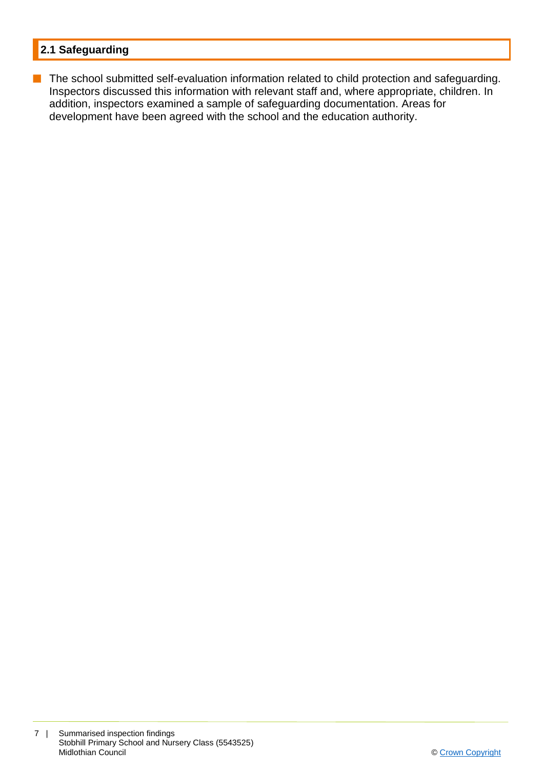# **2.1 Safeguarding**

**n** The school submitted self-evaluation information related to child protection and safeguarding. Inspectors discussed this information with relevant staff and, where appropriate, children. In addition, inspectors examined a sample of safeguarding documentation. Areas for development have been agreed with the school and the education authority.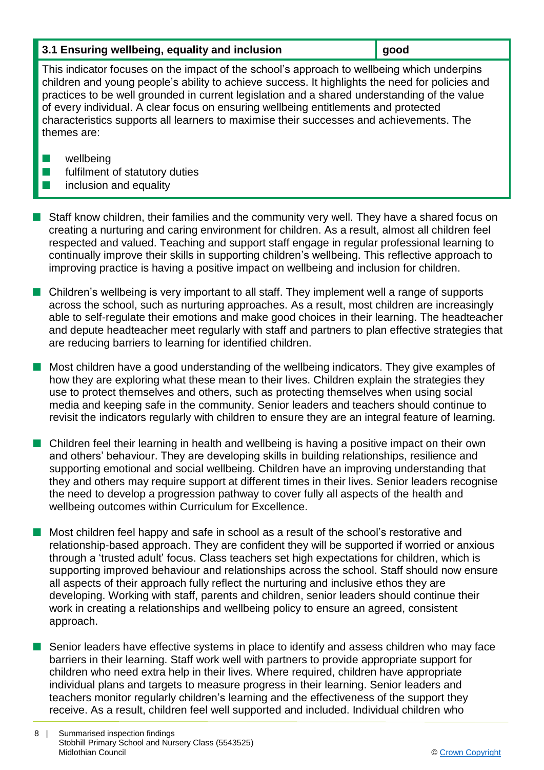# **3.1 Ensuring wellbeing, equality and inclusion <b>good good**

This indicator focuses on the impact of the school's approach to wellbeing which underpins children and young people's ability to achieve success. It highlights the need for policies and practices to be well grounded in current legislation and a shared understanding of the value of every individual. A clear focus on ensuring wellbeing entitlements and protected characteristics supports all learners to maximise their successes and achievements. The themes are:

- $\blacksquare$  wellbeing
- $\blacksquare$  fulfilment of statutory duties
- $\blacksquare$  inclusion and equality
- n Staff know children, their families and the community very well. They have a shared focus on creating a nurturing and caring environment for children. As a result, almost all children feel respected and valued. Teaching and support staff engage in regular professional learning to continually improve their skills in supporting children's wellbeing. This reflective approach to improving practice is having a positive impact on wellbeing and inclusion for children.
- $\blacksquare$  Children's wellbeing is very important to all staff. They implement well a range of supports across the school, such as nurturing approaches. As a result, most children are increasingly able to self-regulate their emotions and make good choices in their learning. The headteacher and depute headteacher meet regularly with staff and partners to plan effective strategies that are reducing barriers to learning for identified children.

n Most children have a good understanding of the wellbeing indicators. They give examples of how they are exploring what these mean to their lives. Children explain the strategies they use to protect themselves and others, such as protecting themselves when using social media and keeping safe in the community. Senior leaders and teachers should continue to revisit the indicators regularly with children to ensure they are an integral feature of learning.

- Children feel their learning in health and wellbeing is having a positive impact on their own and others' behaviour. They are developing skills in building relationships, resilience and supporting emotional and social wellbeing. Children have an improving understanding that they and others may require support at different times in their lives. Senior leaders recognise the need to develop a progression pathway to cover fully all aspects of the health and wellbeing outcomes within Curriculum for Excellence.
- $\blacksquare$  Most children feel happy and safe in school as a result of the school's restorative and relationship-based approach. They are confident they will be supported if worried or anxious through a 'trusted adult' focus. Class teachers set high expectations for children, which is supporting improved behaviour and relationships across the school. Staff should now ensure all aspects of their approach fully reflect the nurturing and inclusive ethos they are developing. Working with staff, parents and children, senior leaders should continue their work in creating a relationships and wellbeing policy to ensure an agreed, consistent approach.
- **n** Senior leaders have effective systems in place to identify and assess children who may face barriers in their learning. Staff work well with partners to provide appropriate support for children who need extra help in their lives. Where required, children have appropriate individual plans and targets to measure progress in their learning. Senior leaders and teachers monitor regularly children's learning and the effectiveness of the support they receive. As a result, children feel well supported and included. Individual children who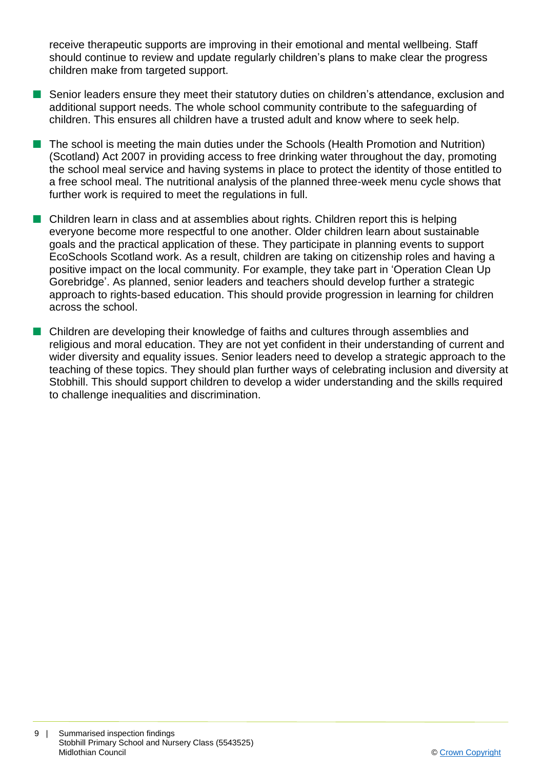receive therapeutic supports are improving in their emotional and mental wellbeing. Staff should continue to review and update regularly children's plans to make clear the progress children make from targeted support.

- Senior leaders ensure they meet their statutory duties on children's attendance, exclusion and additional support needs. The whole school community contribute to the safeguarding of children. This ensures all children have a trusted adult and know where to seek help.
- The school is meeting the main duties under the Schools (Health Promotion and Nutrition) (Scotland) Act 2007 in providing access to free drinking water throughout the day, promoting the school meal service and having systems in place to protect the identity of those entitled to a free school meal. The nutritional analysis of the planned three-week menu cycle shows that further work is required to meet the regulations in full.
- $\blacksquare$  Children learn in class and at assemblies about rights. Children report this is helping everyone become more respectful to one another. Older children learn about sustainable goals and the practical application of these. They participate in planning events to support EcoSchools Scotland work. As a result, children are taking on citizenship roles and having a positive impact on the local community. For example, they take part in 'Operation Clean Up Gorebridge'. As planned, senior leaders and teachers should develop further a strategic approach to rights-based education. This should provide progression in learning for children across the school.
- Children are developing their knowledge of faiths and cultures through assemblies and religious and moral education. They are not yet confident in their understanding of current and wider diversity and equality issues. Senior leaders need to develop a strategic approach to the teaching of these topics. They should plan further ways of celebrating inclusion and diversity at Stobhill. This should support children to develop a wider understanding and the skills required to challenge inequalities and discrimination.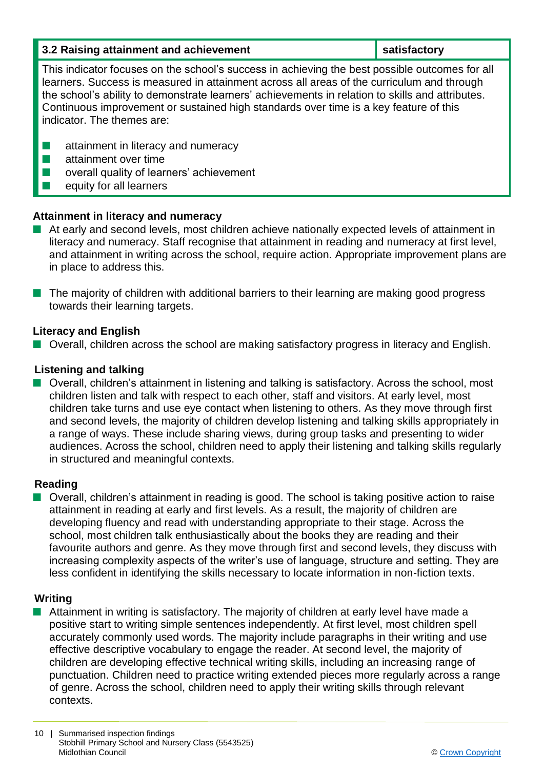| 3.2 Raising attainment and achievement                                                                                                                                                                                                                                                                                                                                                                                  | satisfactory |  |
|-------------------------------------------------------------------------------------------------------------------------------------------------------------------------------------------------------------------------------------------------------------------------------------------------------------------------------------------------------------------------------------------------------------------------|--------------|--|
| This indicator focuses on the school's success in achieving the best possible outcomes for all<br>learners. Success is measured in attainment across all areas of the curriculum and through<br>the school's ability to demonstrate learners' achievements in relation to skills and attributes.<br>Continuous improvement or sustained high standards over time is a key feature of this<br>indicator. The themes are: |              |  |
| attainment in literacy and numeracy<br>attainment over time<br>H<br>overall quality of learners' achievement<br>equity for all learners                                                                                                                                                                                                                                                                                 |              |  |

# **Attainment in literacy and numeracy**

- $\blacksquare$  At early and second levels, most children achieve nationally expected levels of attainment in literacy and numeracy. Staff recognise that attainment in reading and numeracy at first level, and attainment in writing across the school, require action. Appropriate improvement plans are in place to address this.
- $\blacksquare$  The majority of children with additional barriers to their learning are making good progress towards their learning targets.

# **Literacy and English**

■ Overall, children across the school are making satisfactory progress in literacy and English.

#### **Listening and talking**

 $\blacksquare$  Overall, children's attainment in listening and talking is satisfactory. Across the school, most children listen and talk with respect to each other, staff and visitors. At early level, most children take turns and use eye contact when listening to others. As they move through first and second levels, the majority of children develop listening and talking skills appropriately in a range of ways. These include sharing views, during group tasks and presenting to wider audiences. Across the school, children need to apply their listening and talking skills regularly in structured and meaningful contexts.

#### **Reading**

 $\blacksquare$  Overall, children's attainment in reading is good. The school is taking positive action to raise attainment in reading at early and first levels. As a result, the majority of children are developing fluency and read with understanding appropriate to their stage. Across the school, most children talk enthusiastically about the books they are reading and their favourite authors and genre. As they move through first and second levels, they discuss with increasing complexity aspects of the writer's use of language, structure and setting. They are less confident in identifying the skills necessary to locate information in non-fiction texts.

#### **Writing**

 $\blacksquare$  Attainment in writing is satisfactory. The majority of children at early level have made a positive start to writing simple sentences independently. At first level, most children spell accurately commonly used words. The majority include paragraphs in their writing and use effective descriptive vocabulary to engage the reader. At second level, the majority of children are developing effective technical writing skills, including an increasing range of punctuation. Children need to practice writing extended pieces more regularly across a range of genre. Across the school, children need to apply their writing skills through relevant contexts.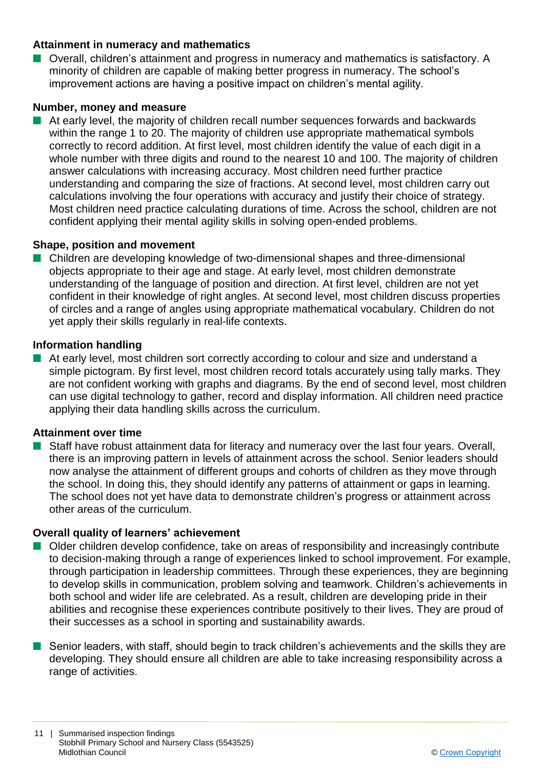# **Attainment in numeracy and mathematics**

Overall, children's attainment and progress in numeracy and mathematics is satisfactory. A minority of children are capable of making better progress in numeracy. The school's improvement actions are having a positive impact on children's mental agility.

# **Number, money and measure**

n At early level, the majority of children recall number sequences forwards and backwards within the range 1 to 20. The majority of children use appropriate mathematical symbols correctly to record addition. At first level, most children identify the value of each digit in a whole number with three digits and round to the nearest 10 and 100. The majority of children answer calculations with increasing accuracy. Most children need further practice understanding and comparing the size of fractions. At second level, most children carry out calculations involving the four operations with accuracy and justify their choice of strategy. Most children need practice calculating durations of time. Across the school, children are not confident applying their mental agility skills in solving open-ended problems.

# **Shape, position and movement**

n Children are developing knowledge of two-dimensional shapes and three-dimensional objects appropriate to their age and stage. At early level, most children demonstrate understanding of the language of position and direction. At first level, children are not yet confident in their knowledge of right angles. At second level, most children discuss properties of circles and a range of angles using appropriate mathematical vocabulary. Children do not yet apply their skills regularly in real-life contexts.

#### **Information handling**

**n** At early level, most children sort correctly according to colour and size and understand a simple pictogram. By first level, most children record totals accurately using tally marks. They are not confident working with graphs and diagrams. By the end of second level, most children can use digital technology to gather, record and display information. All children need practice applying their data handling skills across the curriculum.

# **Attainment over time**

 $\blacksquare$  Staff have robust attainment data for literacy and numeracy over the last four years. Overall, there is an improving pattern in levels of attainment across the school. Senior leaders should now analyse the attainment of different groups and cohorts of children as they move through the school. In doing this, they should identify any patterns of attainment or gaps in learning. The school does not yet have data to demonstrate children's progress or attainment across other areas of the curriculum.

# **Overall quality of learners' achievement**

- n Older children develop confidence, take on areas of responsibility and increasingly contribute to decision-making through a range of experiences linked to school improvement. For example, through participation in leadership committees. Through these experiences, they are beginning to develop skills in communication, problem solving and teamwork. Children's achievements in both school and wider life are celebrated. As a result, children are developing pride in their abilities and recognise these experiences contribute positively to their lives. They are proud of their successes as a school in sporting and sustainability awards.
- **n** Senior leaders, with staff, should begin to track children's achievements and the skills they are developing. They should ensure all children are able to take increasing responsibility across a range of activities.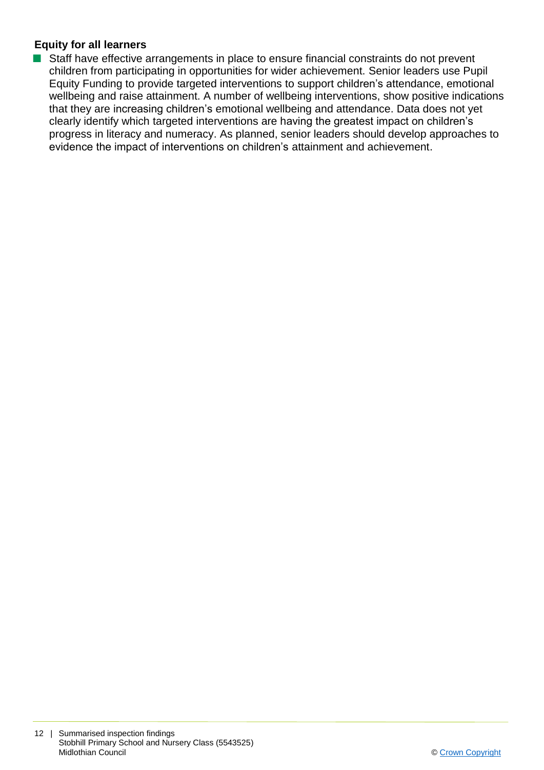# **Equity for all learners**

■ Staff have effective arrangements in place to ensure financial constraints do not prevent children from participating in opportunities for wider achievement. Senior leaders use Pupil Equity Funding to provide targeted interventions to support children's attendance, emotional wellbeing and raise attainment. A number of wellbeing interventions, show positive indications that they are increasing children's emotional wellbeing and attendance. Data does not yet clearly identify which targeted interventions are having the greatest impact on children's progress in literacy and numeracy. As planned, senior leaders should develop approaches to evidence the impact of interventions on children's attainment and achievement.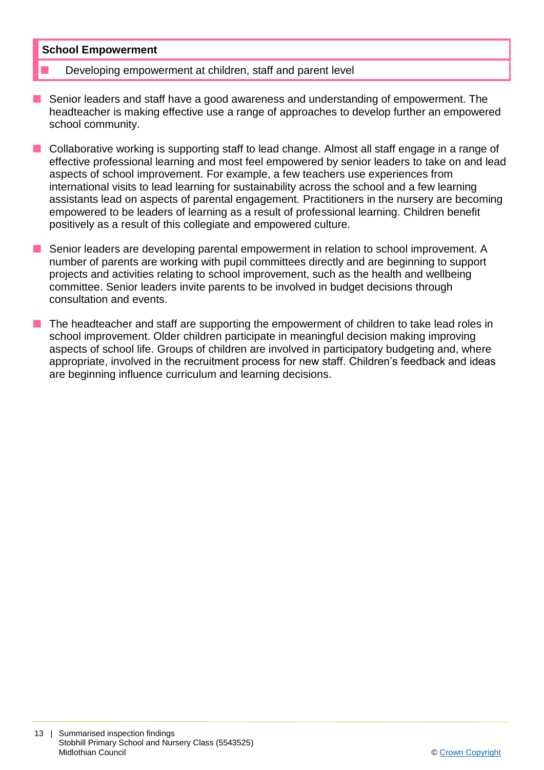#### **School Empowerment**

- Developing empowerment at children, staff and parent level
- Senior leaders and staff have a good awareness and understanding of empowerment. The headteacher is making effective use a range of approaches to develop further an empowered school community.
- **n** Collaborative working is supporting staff to lead change. Almost all staff engage in a range of effective professional learning and most feel empowered by senior leaders to take on and lead aspects of school improvement. For example, a few teachers use experiences from international visits to lead learning for sustainability across the school and a few learning assistants lead on aspects of parental engagement. Practitioners in the nursery are becoming empowered to be leaders of learning as a result of professional learning. Children benefit positively as a result of this collegiate and empowered culture.
- Senior leaders are developing parental empowerment in relation to school improvement. A number of parents are working with pupil committees directly and are beginning to support projects and activities relating to school improvement, such as the health and wellbeing committee. Senior leaders invite parents to be involved in budget decisions through consultation and events.
- $\blacksquare$  The headteacher and staff are supporting the empowerment of children to take lead roles in school improvement. Older children participate in meaningful decision making improving aspects of school life. Groups of children are involved in participatory budgeting and, where appropriate, involved in the recruitment process for new staff. Children's feedback and ideas are beginning influence curriculum and learning decisions.